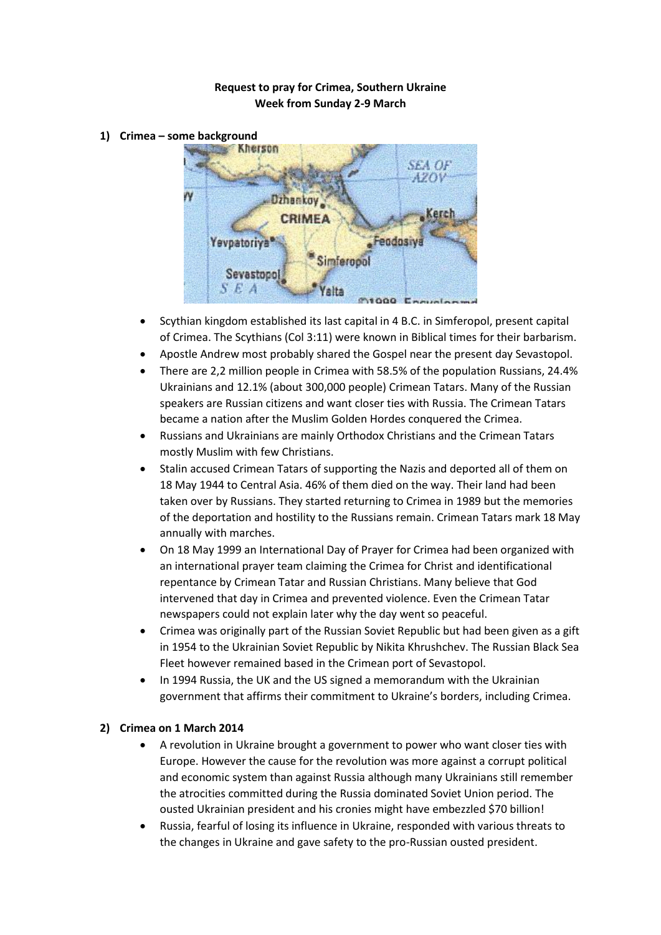## **Request to pray for Crimea, Southern Ukraine Week from Sunday 2-9 March**

**1) Crimea – some background**



- Scythian kingdom established its last capital in 4 B.C. in Simferopol, present capital of Crimea. The Scythians (Col 3:11) were known in Biblical times for their barbarism.
- Apostle Andrew most probably shared the Gospel near the present day Sevastopol.
- There are 2,2 million people in Crimea with 58.5% of the population Russians, 24.4% Ukrainians and 12.1% (about 300,000 people) Crimean Tatars. Many of the Russian speakers are Russian citizens and want closer ties with Russia. The Crimean Tatars became a nation after the Muslim Golden Hordes conquered the Crimea.
- Russians and Ukrainians are mainly Orthodox Christians and the Crimean Tatars mostly Muslim with few Christians.
- Stalin accused Crimean Tatars of supporting the Nazis and deported all of them on 18 May 1944 to Central Asia. 46% of them died on the way. Their land had been taken over by Russians. They started returning to Crimea in 1989 but the memories of the deportation and hostility to the Russians remain. Crimean Tatars mark 18 May annually with marches.
- On 18 May 1999 an International Day of Prayer for Crimea had been organized with an international prayer team claiming the Crimea for Christ and identificational repentance by Crimean Tatar and Russian Christians. Many believe that God intervened that day in Crimea and prevented violence. Even the Crimean Tatar newspapers could not explain later why the day went so peaceful.
- Crimea was originally part of the Russian Soviet Republic but had been given as a gift in 1954 to the Ukrainian Soviet Republic by Nikita Khrushchev. The Russian Black Sea Fleet however remained based in the Crimean port of Sevastopol.
- In 1994 Russia, the UK and the US signed a memorandum with the Ukrainian government that affirms their commitment to Ukraine's borders, including Crimea.

## **2) Crimea on 1 March 2014**

- A revolution in Ukraine brought a government to power who want closer ties with Europe. However the cause for the revolution was more against a corrupt political and economic system than against Russia although many Ukrainians still remember the atrocities committed during the Russia dominated Soviet Union period. The ousted Ukrainian president and his cronies might have embezzled \$70 billion!
- Russia, fearful of losing its influence in Ukraine, responded with various threats to the changes in Ukraine and gave safety to the pro-Russian ousted president.